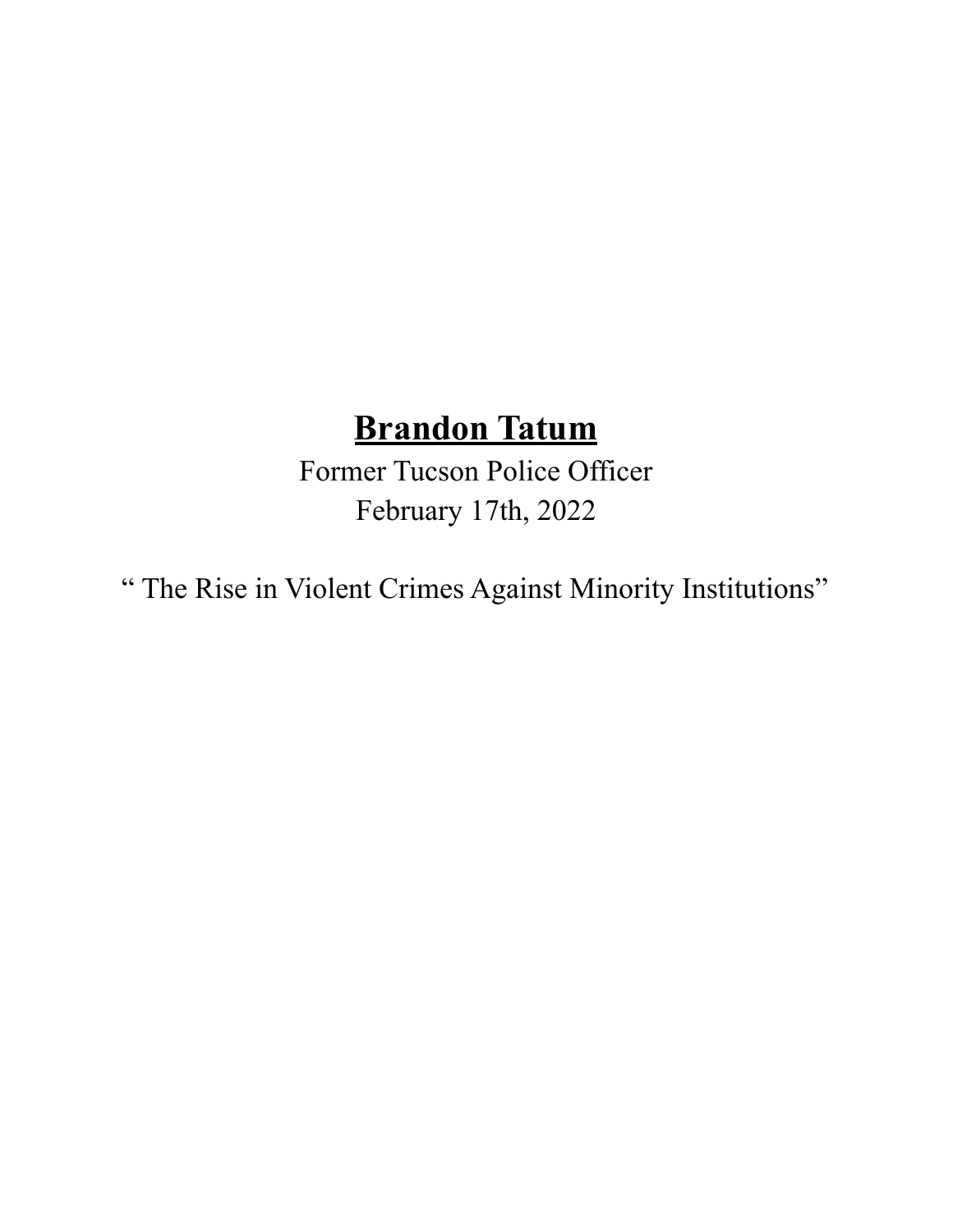## **Brandon Tatum**

Former Tucson Police Officer February 17th, 2022

" The Rise in Violent Crimes Against Minority Institutions"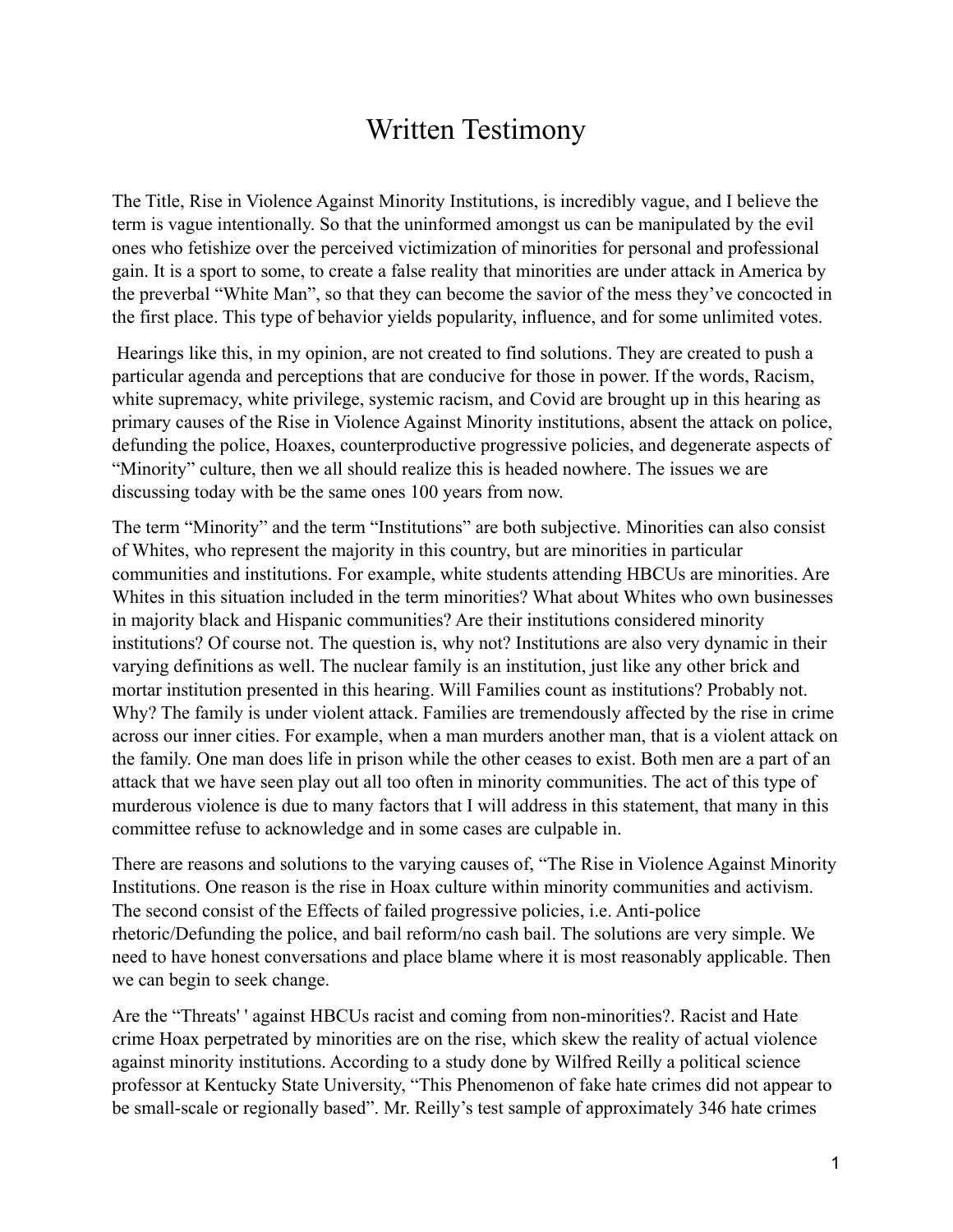## Written Testimony

The Title, Rise in Violence Against Minority Institutions, is incredibly vague, and I believe the term is vague intentionally. So that the uninformed amongst us can be manipulated by the evil ones who fetishize over the perceived victimization of minorities for personal and professional gain. It is a sport to some, to create a false reality that minorities are under attack in America by the preverbal "White Man", so that they can become the savior of the mess they've concocted in the first place. This type of behavior yields popularity, influence, and for some unlimited votes.

Hearings like this, in my opinion, are not created to find solutions. They are created to push a particular agenda and perceptions that are conducive for those in power. If the words, Racism, white supremacy, white privilege, systemic racism, and Covid are brought up in this hearing as primary causes of the Rise in Violence Against Minority institutions, absent the attack on police, defunding the police, Hoaxes, counterproductive progressive policies, and degenerate aspects of "Minority" culture, then we all should realize this is headed nowhere. The issues we are discussing today with be the same ones 100 years from now.

The term "Minority" and the term "Institutions" are both subjective. Minorities can also consist of Whites, who represent the majority in this country, but are minorities in particular communities and institutions. For example, white students attending HBCUs are minorities. Are Whites in this situation included in the term minorities? What about Whites who own businesses in majority black and Hispanic communities? Are their institutions considered minority institutions? Of course not. The question is, why not? Institutions are also very dynamic in their varying definitions as well. The nuclear family is an institution, just like any other brick and mortar institution presented in this hearing. Will Families count as institutions? Probably not. Why? The family is under violent attack. Families are tremendously affected by the rise in crime across our inner cities. For example, when a man murders another man, that is a violent attack on the family. One man does life in prison while the other ceases to exist. Both men are a part of an attack that we have seen play out all too often in minority communities. The act of this type of murderous violence is due to many factors that I will address in this statement, that many in this committee refuse to acknowledge and in some cases are culpable in.

There are reasons and solutions to the varying causes of, "The Rise in Violence Against Minority Institutions. One reason is the rise in Hoax culture within minority communities and activism. The second consist of the Effects of failed progressive policies, i.e. Anti-police rhetoric/Defunding the police, and bail reform/no cash bail. The solutions are very simple. We need to have honest conversations and place blame where it is most reasonably applicable. Then we can begin to seek change.

Are the "Threats' ' against HBCUs racist and coming from non-minorities?. Racist and Hate crime Hoax perpetrated by minorities are on the rise, which skew the reality of actual violence against minority institutions. According to a study done by Wilfred Reilly a political science professor at Kentucky State University, "This Phenomenon of fake hate crimes did not appear to be small-scale or regionally based". Mr. Reilly's test sample of approximately 346 hate crimes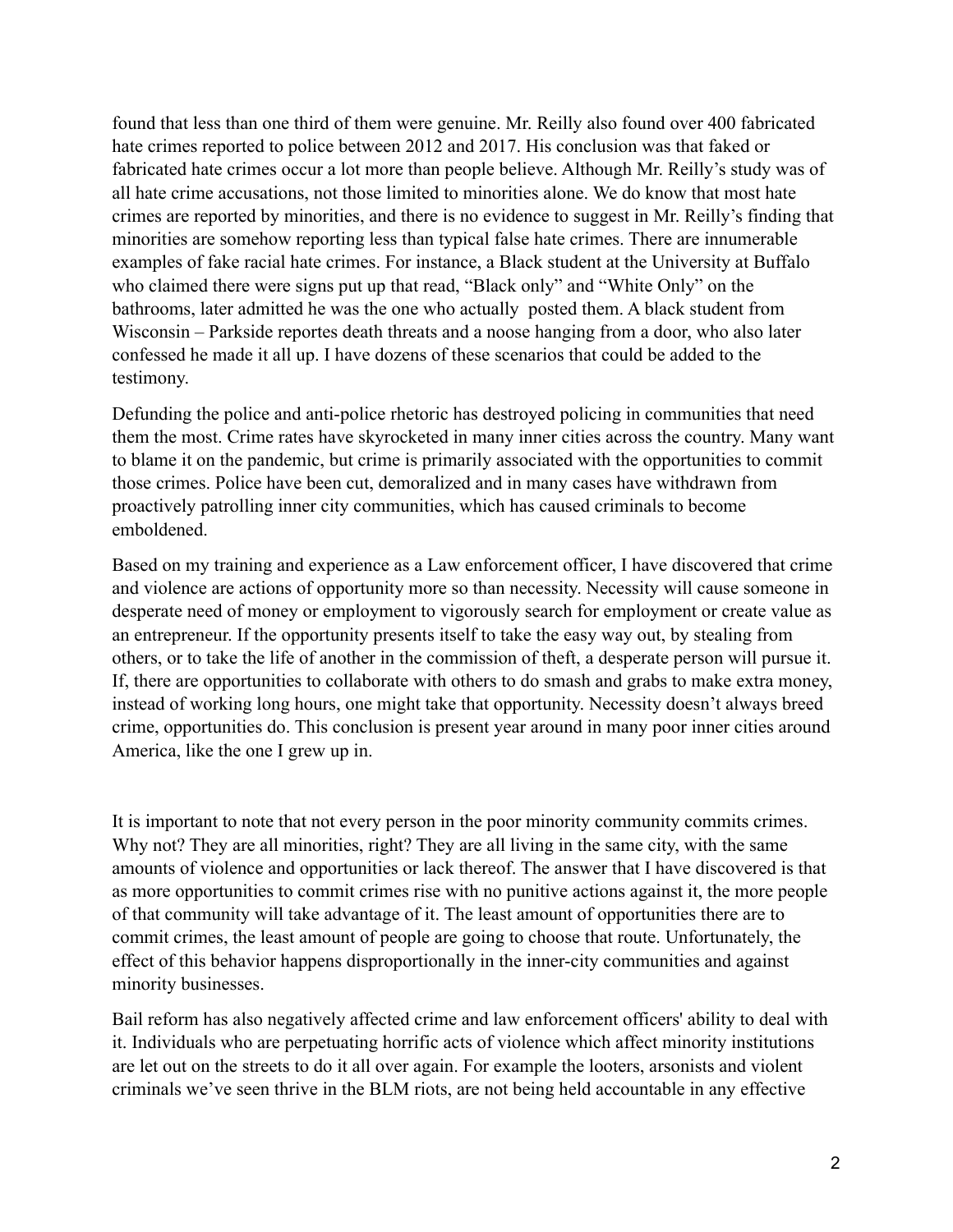found that less than one third of them were genuine. Mr. Reilly also found over 400 fabricated hate crimes reported to police between 2012 and 2017. His conclusion was that faked or fabricated hate crimes occur a lot more than people believe. Although Mr. Reilly's study was of all hate crime accusations, not those limited to minorities alone. We do know that most hate crimes are reported by minorities, and there is no evidence to suggest in Mr. Reilly's finding that minorities are somehow reporting less than typical false hate crimes. There are innumerable examples of fake racial hate crimes. For instance, a Black student at the University at Buffalo who claimed there were signs put up that read, "Black only" and "White Only" on the bathrooms, later admitted he was the one who actually posted them. A black student from Wisconsin – Parkside reportes death threats and a noose hanging from a door, who also later confessed he made it all up. I have dozens of these scenarios that could be added to the testimony.

Defunding the police and anti-police rhetoric has destroyed policing in communities that need them the most. Crime rates have skyrocketed in many inner cities across the country. Many want to blame it on the pandemic, but crime is primarily associated with the opportunities to commit those crimes. Police have been cut, demoralized and in many cases have withdrawn from proactively patrolling inner city communities, which has caused criminals to become emboldened.

Based on my training and experience as a Law enforcement officer, I have discovered that crime and violence are actions of opportunity more so than necessity. Necessity will cause someone in desperate need of money or employment to vigorously search for employment or create value as an entrepreneur. If the opportunity presents itself to take the easy way out, by stealing from others, or to take the life of another in the commission of theft, a desperate person will pursue it. If, there are opportunities to collaborate with others to do smash and grabs to make extra money, instead of working long hours, one might take that opportunity. Necessity doesn't always breed crime, opportunities do. This conclusion is present year around in many poor inner cities around America, like the one I grew up in.

It is important to note that not every person in the poor minority community commits crimes. Why not? They are all minorities, right? They are all living in the same city, with the same amounts of violence and opportunities or lack thereof. The answer that I have discovered is that as more opportunities to commit crimes rise with no punitive actions against it, the more people of that community will take advantage of it. The least amount of opportunities there are to commit crimes, the least amount of people are going to choose that route. Unfortunately, the effect of this behavior happens disproportionally in the inner-city communities and against minority businesses.

Bail reform has also negatively affected crime and law enforcement officers' ability to deal with it. Individuals who are perpetuating horrific acts of violence which affect minority institutions are let out on the streets to do it all over again. For example the looters, arsonists and violent criminals we've seen thrive in the BLM riots, are not being held accountable in any effective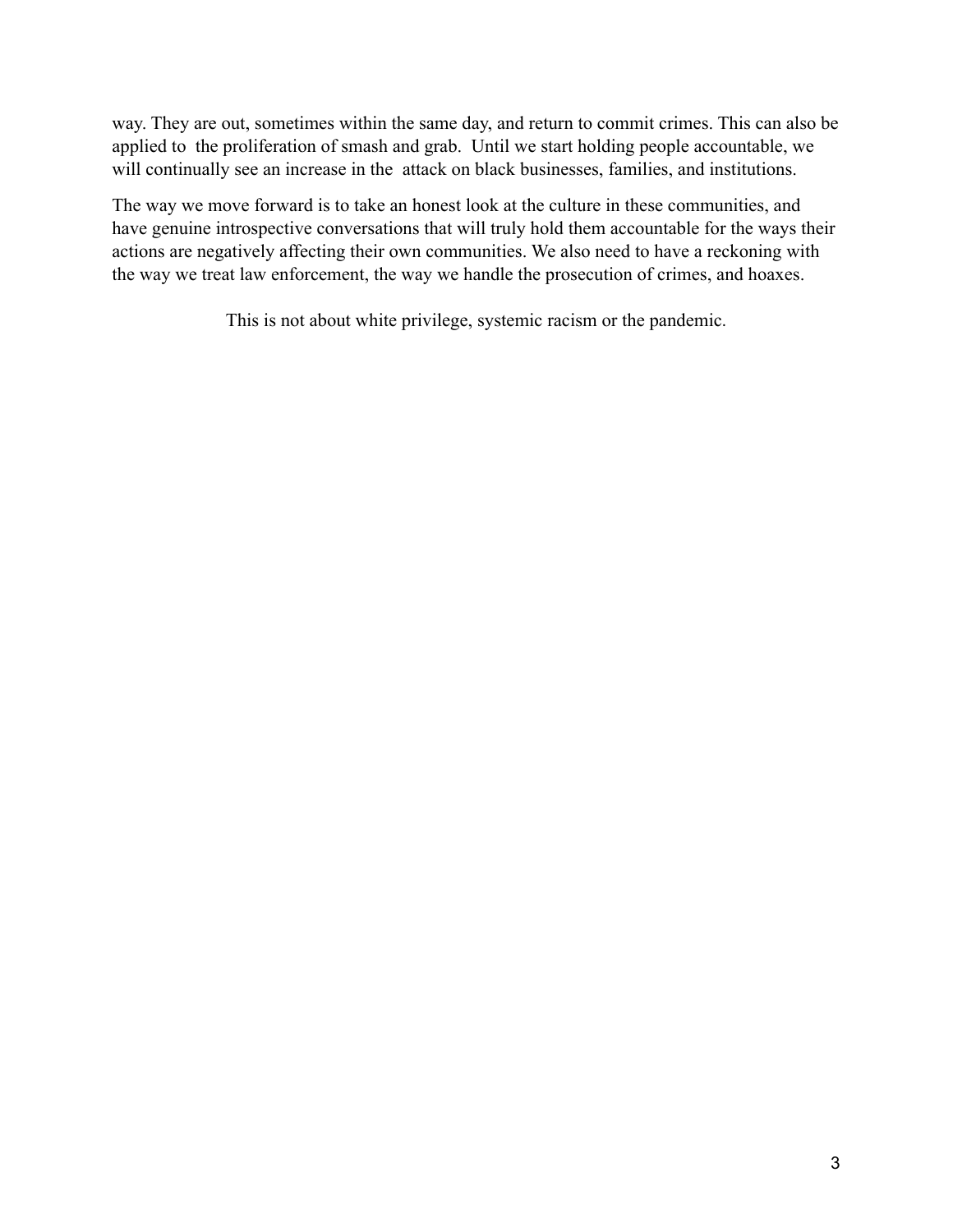way. They are out, sometimes within the same day, and return to commit crimes. This can also be applied to the proliferation of smash and grab. Until we start holding people accountable, we will continually see an increase in the attack on black businesses, families, and institutions.

The way we move forward is to take an honest look at the culture in these communities, and have genuine introspective conversations that will truly hold them accountable for the ways their actions are negatively affecting their own communities. We also need to have a reckoning with the way we treat law enforcement, the way we handle the prosecution of crimes, and hoaxes.

This is not about white privilege, systemic racism or the pandemic.